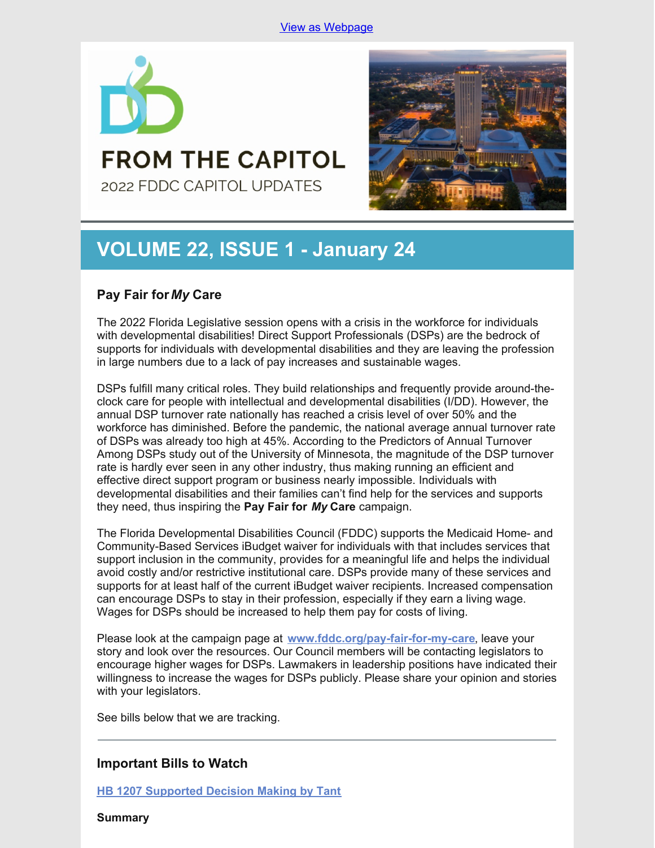

# **FROM THE CAPITOL** 2022 FDDC CAPITOL UPDATES

# **VOLUME 22, ISSUE 1 - January 24**

## **Pay Fair for***My* **Care**

The 2022 Florida Legislative session opens with a crisis in the workforce for individuals with developmental disabilities! Direct Support Professionals (DSPs) are the bedrock of supports for individuals with developmental disabilities and they are leaving the profession in large numbers due to a lack of pay increases and sustainable wages.

DSPs fulfill many critical roles. They build relationships and frequently provide around-theclock care for people with intellectual and developmental disabilities (I/DD). However, the annual DSP turnover rate nationally has reached a crisis level of over 50% and the workforce has diminished. Before the pandemic, the national average annual turnover rate of DSPs was already too high at 45%. According to the Predictors of Annual Turnover Among DSPs study out of the University of Minnesota, the magnitude of the DSP turnover rate is hardly ever seen in any other industry, thus making running an efficient and effective direct support program or business nearly impossible. Individuals with developmental disabilities and their families can't find help for the services and supports they need, thus inspiring the **Pay Fair for** *My* **Care** campaign.

The Florida Developmental Disabilities Council (FDDC) supports the Medicaid Home- and Community-Based Services iBudget waiver for individuals with that includes services that support inclusion in the community, provides for a meaningful life and helps the individual avoid costly and/or restrictive institutional care. DSPs provide many of these services and supports for at least half of the current iBudget waiver recipients. Increased compensation can encourage DSPs to stay in their profession, especially if they earn a living wage. Wages for DSPs should be increased to help them pay for costs of living.

Please look at the campaign page at **[www.fddc.org/pay-fair-for-my-care](http://www.fddc.org/pay-fair-for-my-care)**, leave your story and look over the resources. Our Council members will be contacting legislators to encourage higher wages for DSPs. Lawmakers in leadership positions have indicated their willingness to increase the wages for DSPs publicly. Please share your opinion and stories with your legislators.

See bills below that we are tracking.

## **Important Bills to Watch**

**HB 1207 [Supported](https://www.myfloridahouse.gov/Sections/Bills/billsdetail.aspx?BillId=76061) Decision Making by Tant**

**Summary**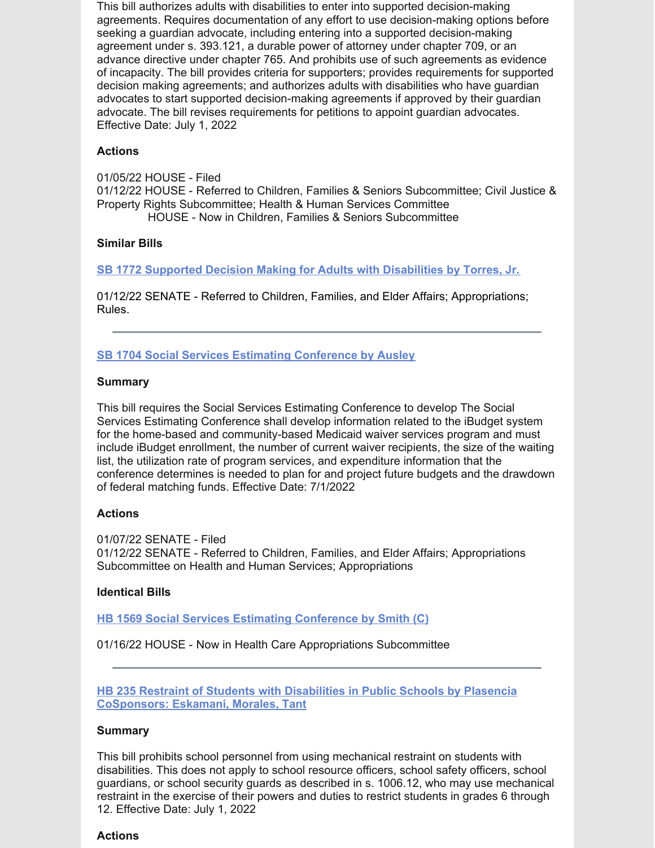This bill authorizes adults with disabilities to enter into supported decision-making agreements. Requires documentation of any effort to use decision-making options before seeking a guardian advocate, including entering into a supported decision-making agreement under s. 393.121, a durable power of attorney under chapter 709, or an advance directive under chapter 765. And prohibits use of such agreements as evidence of incapacity. The bill provides criteria for supporters; provides requirements for supported decision making agreements; and authorizes adults with disabilities who have guardian advocates to start supported decision-making agreements if approved by their guardian advocate. The bill revises requirements for petitions to appoint guardian advocates. Effective Date: July 1, 2022

#### **Actions**

01/05/22 HOUSE - Filed 01/12/22 HOUSE - Referred to Children, Families & Seniors Subcommittee; Civil Justice & Property Rights Subcommittee; Health & Human Services Committee HOUSE - Now in Children, Families & Seniors Subcommittee

### **Similar Bills**

**SB 1772 Supported Decision Making for Adults with [Disabilities](https://www.myfloridahouse.gov/Sections/Bills/billsdetail.aspx?BillId=76242&) by Torres, Jr.**

01/12/22 SENATE - Referred to Children, Families, and Elder Affairs; Appropriations; Rules.

## **SB 1704 Social Services Estimating [Conference](https://www.myfloridahouse.gov/Sections/Bills/billsdetail.aspx?BillId=76170) by Ausley**

#### **Summary**

This bill requires the Social Services Estimating Conference to develop The Social Services Estimating Conference shall develop information related to the iBudget system for the home-based and community-based Medicaid waiver services program and must include iBudget enrollment, the number of current waiver recipients, the size of the waiting list, the utilization rate of program services, and expenditure information that the conference determines is needed to plan for and project future budgets and the drawdown of federal matching funds. Effective Date: 7/1/2022

## **Actions**

01/07/22 SENATE - Filed 01/12/22 SENATE - Referred to Children, Families, and Elder Affairs; Appropriations Subcommittee on Health and Human Services; Appropriations

#### **Identical Bills**

**HB 1569 Social Services Estimating [Conference](https://www.myfloridahouse.gov/Sections/Bills/billsdetail.aspx?BillId=76559&) by Smith (C)**

01/16/22 HOUSE - Now in Health Care Appropriations Subcommittee

**HB 235 Restraint of Students with Disabilities in Public Schools by Plasencia [CoSponsors:](https://www.myfloridahouse.gov/Sections/Bills/billsdetail.aspx?BillId=73355) Eskamani, Morales, Tant**

## **Summary**

This bill prohibits school personnel from using mechanical restraint on students with disabilities. This does not apply to school resource officers, school safety officers, school guardians, or school security guards as described in s. 1006.12, who may use mechanical restraint in the exercise of their powers and duties to restrict students in grades 6 through 12. Effective Date: July 1, 2022

#### **Actions**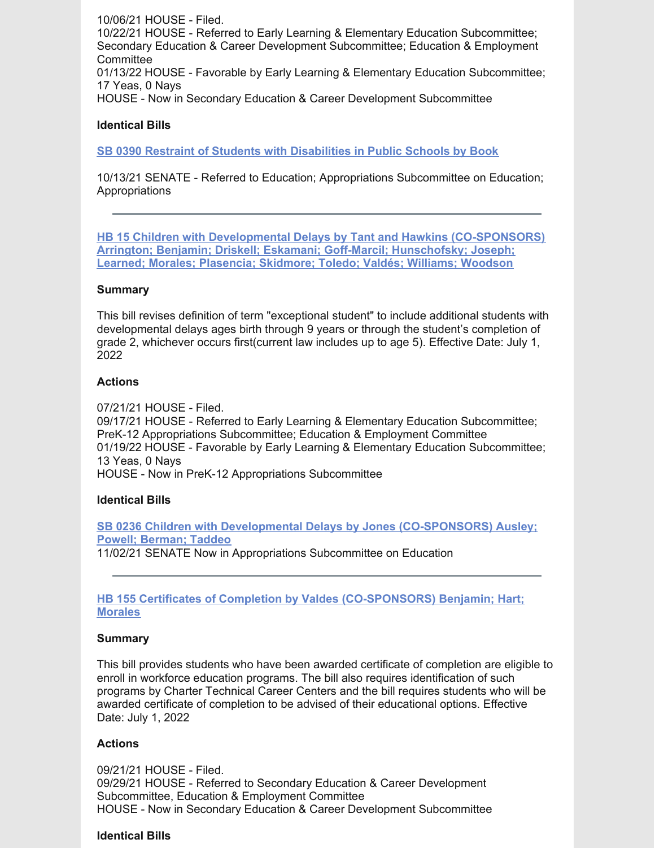10/06/21 HOUSE - Filed. 10/22/21 HOUSE - Referred to Early Learning & Elementary Education Subcommittee; Secondary Education & Career Development Subcommittee; Education & Employment **Committee** 01/13/22 HOUSE - Favorable by Early Learning & Elementary Education Subcommittee; 17 Yeas, 0 Nays HOUSE - Now in Secondary Education & Career Development Subcommittee

#### **Identical Bills**

**SB 0390 Restraint of Students with [Disabilities](https://www.myfloridahouse.gov/Sections/Bills/billsdetail.aspx?BillId=73330&) in Public Schools by Book**

10/13/21 SENATE - Referred to Education; Appropriations Subcommittee on Education; **Appropriations** 

**HB 15 Children with Developmental Delays by Tant and Hawkins [\(CO-SPONSORS\)](https://www.myfloridahouse.gov/Sections/Bills/billsdetail.aspx?BillId=73025) Arrington; Benjamin; Driskell; Eskamani; Goff-Marcil; Hunschofsky; Joseph; Learned; Morales; Plasencia; Skidmore; Toledo; Valdés; Williams; Woodson**

#### **Summary**

This bill revises definition of term "exceptional student" to include additional students with developmental delays ages birth through 9 years or through the student's completion of grade 2, whichever occurs first(current law includes up to age 5). Effective Date: July 1, 2022

#### **Actions**

07/21/21 HOUSE - Filed.

09/17/21 HOUSE - Referred to Early Learning & Elementary Education Subcommittee; PreK-12 Appropriations Subcommittee; Education & Employment Committee 01/19/22 HOUSE - Favorable by Early Learning & Elementary Education Subcommittee; 13 Yeas, 0 Nays HOUSE - Now in PreK-12 Appropriations Subcommittee

#### **Identical Bills**

**SB 0236 Children with Developmental Delays by Jones [\(CO-SPONSORS\)](https://www.myfloridahouse.gov/Sections/Bills/billsdetail.aspx?BillId=73164&) Ausley; Powell; Berman; Taddeo**

11/02/21 SENATE Now in Appropriations Subcommittee on Education

#### **HB 155 Certificates of Completion by Valdes [\(CO-SPONSORS\)](https://www.myfloridahouse.gov/Sections/Bills/billsdetail.aspx?BillId=73206) Benjamin; Hart; Morales**

#### **Summary**

This bill provides students who have been awarded certificate of completion are eligible to enroll in workforce education programs. The bill also requires identification of such programs by Charter Technical Career Centers and the bill requires students who will be awarded certificate of completion to be advised of their educational options. Effective Date: July 1, 2022

#### **Actions**

09/21/21 HOUSE - Filed. 09/29/21 HOUSE - Referred to Secondary Education & Career Development Subcommittee, Education & Employment Committee HOUSE - Now in Secondary Education & Career Development Subcommittee

#### **Identical Bills**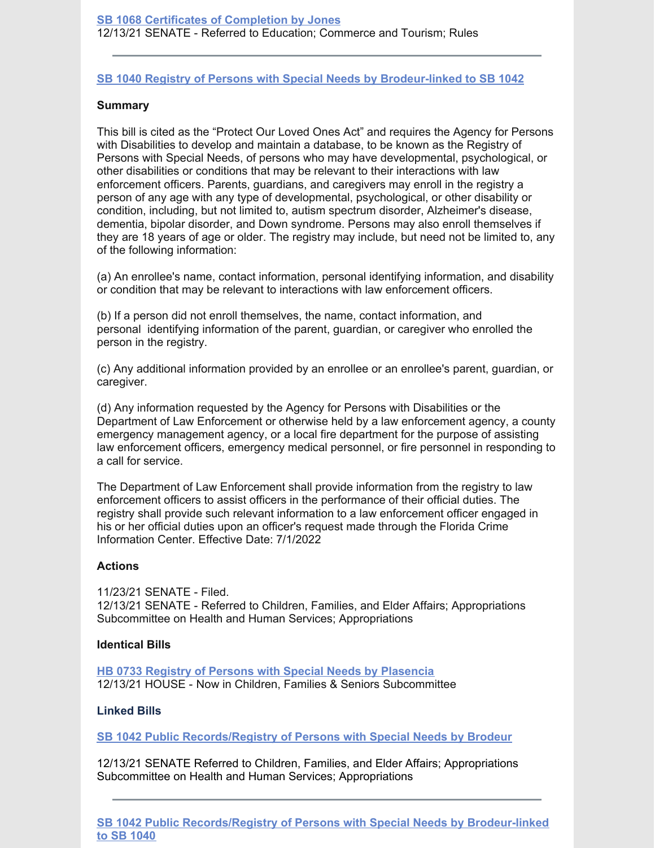### **SB 1040 Registry of Persons with Special Needs by [Brodeur-linked](https://www.myfloridahouse.gov/Sections/Bills/billsdetail.aspx?BillId=74991) to SB 1042**

#### **Summary**

This bill is cited as the "Protect Our Loved Ones Act" and requires the Agency for Persons with Disabilities to develop and maintain a database, to be known as the Registry of Persons with Special Needs, of persons who may have developmental, psychological, or other disabilities or conditions that may be relevant to their interactions with law enforcement officers. Parents, guardians, and caregivers may enroll in the registry a person of any age with any type of developmental, psychological, or other disability or condition, including, but not limited to, autism spectrum disorder, Alzheimer's disease, dementia, bipolar disorder, and Down syndrome. Persons may also enroll themselves if they are 18 years of age or older. The registry may include, but need not be limited to, any of the following information:

(a) An enrollee's name, contact information, personal identifying information, and disability or condition that may be relevant to interactions with law enforcement officers.

(b) If a person did not enroll themselves, the name, contact information, and personal identifying information of the parent, guardian, or caregiver who enrolled the person in the registry.

(c) Any additional information provided by an enrollee or an enrollee's parent, guardian, or caregiver.

(d) Any information requested by the Agency for Persons with Disabilities or the Department of Law Enforcement or otherwise held by a law enforcement agency, a county emergency management agency, or a local fire department for the purpose of assisting law enforcement officers, emergency medical personnel, or fire personnel in responding to a call for service.

The Department of Law Enforcement shall provide information from the registry to law enforcement officers to assist officers in the performance of their official duties. The registry shall provide such relevant information to a law enforcement officer engaged in his or her official duties upon an officer's request made through the Florida Crime Information Center. Effective Date: 7/1/2022

#### **Actions**

11/23/21 SENATE - Filed. 12/13/21 SENATE - Referred to Children, Families, and Elder Affairs; Appropriations Subcommittee on Health and Human Services; Appropriations

#### **Identical Bills**

**HB 0733 Registry of Persons with Special Needs by [Plasencia](https://www.myfloridahouse.gov/Sections/Bills/billsdetail.aspx?BillId=75034&)** 12/13/21 HOUSE - Now in Children, Families & Seniors Subcommittee

#### **Linked Bills**

**SB 1042 Public [Records/Registry](https://www.myfloridahouse.gov/Sections/Bills/billsdetail.aspx?BillId=74990&) of Persons with Special Needs by Brodeur**

12/13/21 SENATE Referred to Children, Families, and Elder Affairs; Appropriations Subcommittee on Health and Human Services; Appropriations

**SB 1042 Public [Records/Registry](https://www.myfloridahouse.gov/Sections/Bills/billsdetail.aspx?BillId=74990&) of Persons with Special Needs by Brodeur-linked to SB 1040**